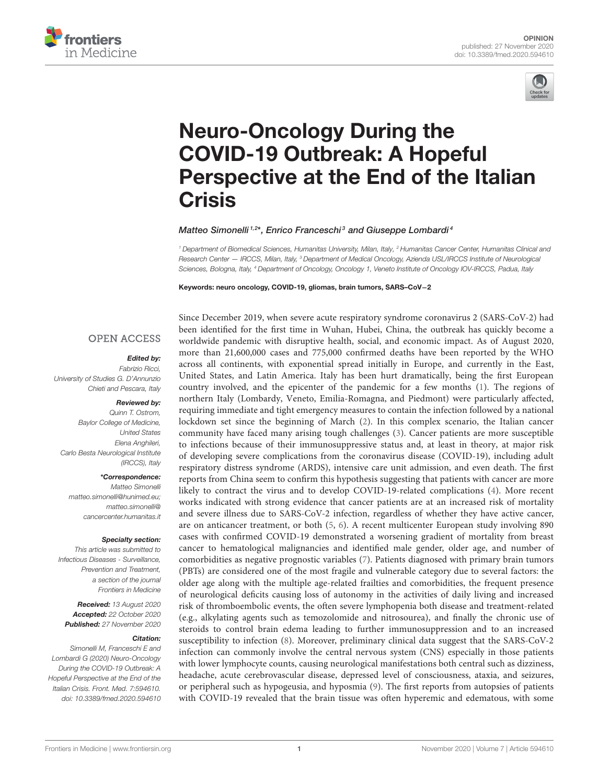



# Neuro-Oncology During the COVID-19 Outbreak: A Hopeful [Perspective at the End of the Italian](https://www.frontiersin.org/articles/10.3389/fmed.2020.594610/full) **Crisis**

Matteo Simonelli<sup>1,2\*</sup>, Enrico Franceschi<sup>3</sup> and Giuseppe Lombardi<sup>4</sup>

*<sup>1</sup> Department of Biomedical Sciences, Humanitas University, Milan, Italy, <sup>2</sup> Humanitas Cancer Center, Humanitas Clinical and Research Center — IRCCS, Milan, Italy, <sup>3</sup> Department of Medical Oncology, Azienda USL/IRCCS Institute of Neurological Sciences, Bologna, Italy, <sup>4</sup> Department of Oncology, Oncology 1, Veneto Institute of Oncology IOV-IRCCS, Padua, Italy*

Keywords: neuro oncology, COVID-19, gliomas, brain tumors, SARS–CoV−2

## **OPEN ACCESS**

## Edited by:

*Fabrizio Ricci, University of Studies G. D'Annunzio Chieti and Pescara, Italy*

## Reviewed by:

*Quinn T. Ostrom, Baylor College of Medicine, United States Elena Anghileri, Carlo Besta Neurological Institute (IRCCS), Italy*

## \*Correspondence:

*Matteo Simonelli [matteo.simonelli@hunimed.eu;](mailto:matteo.simonelli@hunimed.eu) matteo.simonelli@ [cancercenter.humanitas.it](mailto:matteo.simonelli@cancercenter.humanitas.it)*

#### Specialty section:

*This article was submitted to Infectious Diseases - Surveillance, Prevention and Treatment, a section of the journal Frontiers in Medicine*

Received: *13 August 2020* Accepted: *22 October 2020* Published: *27 November 2020*

#### Citation:

*Simonelli M, Franceschi E and Lombardi G (2020) Neuro-Oncology During the COVID-19 Outbreak: A Hopeful Perspective at the End of the Italian Crisis. Front. Med. 7:594610. doi: [10.3389/fmed.2020.594610](https://doi.org/10.3389/fmed.2020.594610)* Since December 2019, when severe acute respiratory syndrome coronavirus 2 (SARS-CoV-2) had been identified for the first time in Wuhan, Hubei, China, the outbreak has quickly become a worldwide pandemic with disruptive health, social, and economic impact. As of August 2020, more than 21,600,000 cases and 775,000 confirmed deaths have been reported by the WHO across all continents, with exponential spread initially in Europe, and currently in the East, United States, and Latin America. Italy has been hurt dramatically, being the first European country involved, and the epicenter of the pandemic for a few months [\(1\)](#page-3-0). The regions of northern Italy (Lombardy, Veneto, Emilia-Romagna, and Piedmont) were particularly affected, requiring immediate and tight emergency measures to contain the infection followed by a national lockdown set since the beginning of March [\(2\)](#page-3-1). In this complex scenario, the Italian cancer community have faced many arising tough challenges [\(3\)](#page-3-2). Cancer patients are more susceptible to infections because of their immunosuppressive status and, at least in theory, at major risk of developing severe complications from the coronavirus disease (COVID-19), including adult respiratory distress syndrome (ARDS), intensive care unit admission, and even death. The first reports from China seem to confirm this hypothesis suggesting that patients with cancer are more likely to contract the virus and to develop COVID-19-related complications [\(4\)](#page-3-3). More recent works indicated with strong evidence that cancer patients are at an increased risk of mortality and severe illness due to SARS-CoV-2 infection, regardless of whether they have active cancer, are on anticancer treatment, or both [\(5,](#page-3-4) [6\)](#page-3-5). A recent multicenter European study involving 890 cases with confirmed COVID-19 demonstrated a worsening gradient of mortality from breast cancer to hematological malignancies and identified male gender, older age, and number of comorbidities as negative prognostic variables [\(7\)](#page-3-6). Patients diagnosed with primary brain tumors (PBTs) are considered one of the most fragile and vulnerable category due to several factors: the older age along with the multiple age-related frailties and comorbidities, the frequent presence of neurological deficits causing loss of autonomy in the activities of daily living and increased risk of thromboembolic events, the often severe lymphopenia both disease and treatment-related (e.g., alkylating agents such as temozolomide and nitrosourea), and finally the chronic use of steroids to control brain edema leading to further immunosuppression and to an increased susceptibility to infection [\(8\)](#page-3-7). Moreover, preliminary clinical data suggest that the SARS-CoV-2 infection can commonly involve the central nervous system (CNS) especially in those patients with lower lymphocyte counts, causing neurological manifestations both central such as dizziness, headache, acute cerebrovascular disease, depressed level of consciousness, ataxia, and seizures, or peripheral such as hypogeusia, and hyposmia [\(9\)](#page-3-8). The first reports from autopsies of patients with COVID-19 revealed that the brain tissue was often hyperemic and edematous, with some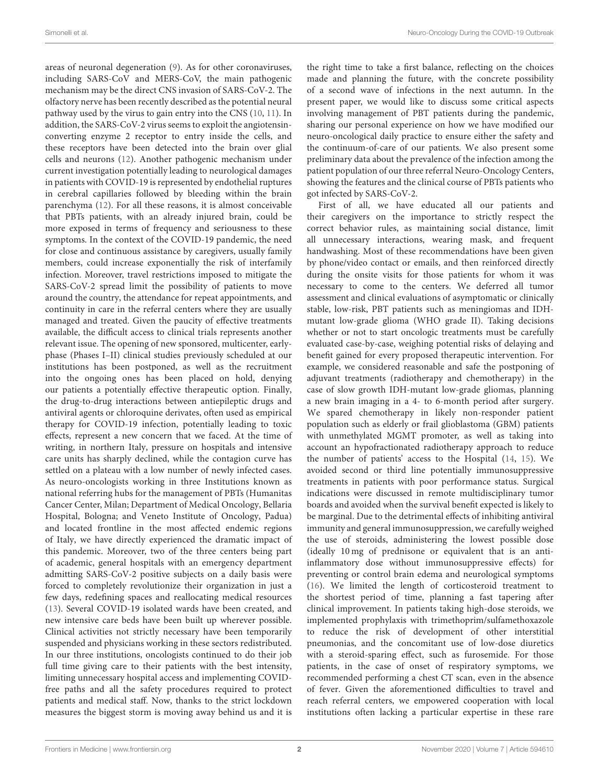areas of neuronal degeneration [\(9\)](#page-3-8). As for other coronaviruses, including SARS-CoV and MERS-CoV, the main pathogenic mechanism may be the direct CNS invasion of SARS-CoV-2. The olfactory nerve has been recently described as the potential neural pathway used by the virus to gain entry into the CNS [\(10,](#page-3-9) [11\)](#page-3-10). In addition, the SARS-CoV-2 virus seems to exploit the angiotensinconverting enzyme 2 receptor to entry inside the cells, and these receptors have been detected into the brain over glial cells and neurons [\(12\)](#page-3-11). Another pathogenic mechanism under current investigation potentially leading to neurological damages in patients with COVID-19 is represented by endothelial ruptures in cerebral capillaries followed by bleeding within the brain parenchyma [\(12\)](#page-3-11). For all these reasons, it is almost conceivable that PBTs patients, with an already injured brain, could be more exposed in terms of frequency and seriousness to these symptoms. In the context of the COVID-19 pandemic, the need for close and continuous assistance by caregivers, usually family members, could increase exponentially the risk of interfamily infection. Moreover, travel restrictions imposed to mitigate the SARS-CoV-2 spread limit the possibility of patients to move around the country, the attendance for repeat appointments, and continuity in care in the referral centers where they are usually managed and treated. Given the paucity of effective treatments available, the difficult access to clinical trials represents another relevant issue. The opening of new sponsored, multicenter, earlyphase (Phases I–II) clinical studies previously scheduled at our institutions has been postponed, as well as the recruitment into the ongoing ones has been placed on hold, denying our patients a potentially effective therapeutic option. Finally, the drug-to-drug interactions between antiepileptic drugs and antiviral agents or chloroquine derivates, often used as empirical therapy for COVID-19 infection, potentially leading to toxic effects, represent a new concern that we faced. At the time of writing, in northern Italy, pressure on hospitals and intensive care units has sharply declined, while the contagion curve has settled on a plateau with a low number of newly infected cases. As neuro-oncologists working in three Institutions known as national referring hubs for the management of PBTs (Humanitas Cancer Center, Milan; Department of Medical Oncology, Bellaria Hospital, Bologna; and Veneto Institute of Oncology, Padua) and located frontline in the most affected endemic regions of Italy, we have directly experienced the dramatic impact of this pandemic. Moreover, two of the three centers being part of academic, general hospitals with an emergency department admitting SARS-CoV-2 positive subjects on a daily basis were forced to completely revolutionize their organization in just a few days, redefining spaces and reallocating medical resources [\(13\)](#page-3-12). Several COVID-19 isolated wards have been created, and new intensive care beds have been built up wherever possible. Clinical activities not strictly necessary have been temporarily suspended and physicians working in these sectors redistributed. In our three institutions, oncologists continued to do their job full time giving care to their patients with the best intensity, limiting unnecessary hospital access and implementing COVIDfree paths and all the safety procedures required to protect patients and medical staff. Now, thanks to the strict lockdown measures the biggest storm is moving away behind us and it is the right time to take a first balance, reflecting on the choices made and planning the future, with the concrete possibility of a second wave of infections in the next autumn. In the present paper, we would like to discuss some critical aspects involving management of PBT patients during the pandemic, sharing our personal experience on how we have modified our neuro-oncological daily practice to ensure either the safety and the continuum-of-care of our patients. We also present some preliminary data about the prevalence of the infection among the patient population of our three referral Neuro-Oncology Centers, showing the features and the clinical course of PBTs patients who got infected by SARS-CoV-2.

First of all, we have educated all our patients and their caregivers on the importance to strictly respect the correct behavior rules, as maintaining social distance, limit all unnecessary interactions, wearing mask, and frequent handwashing. Most of these recommendations have been given by phone/video contact or emails, and then reinforced directly during the onsite visits for those patients for whom it was necessary to come to the centers. We deferred all tumor assessment and clinical evaluations of asymptomatic or clinically stable, low-risk, PBT patients such as meningiomas and IDHmutant low-grade glioma (WHO grade II). Taking decisions whether or not to start oncologic treatments must be carefully evaluated case-by-case, weighing potential risks of delaying and benefit gained for every proposed therapeutic intervention. For example, we considered reasonable and safe the postponing of adjuvant treatments (radiotherapy and chemotherapy) in the case of slow growth IDH-mutant low-grade gliomas, planning a new brain imaging in a 4- to 6-month period after surgery. We spared chemotherapy in likely non-responder patient population such as elderly or frail glioblastoma (GBM) patients with unmethylated MGMT promoter, as well as taking into account an hypofractionated radiotherapy approach to reduce the number of patients' access to the Hospital [\(14,](#page-3-13) [15\)](#page-3-14). We avoided second or third line potentially immunosuppressive treatments in patients with poor performance status. Surgical indications were discussed in remote multidisciplinary tumor boards and avoided when the survival benefit expected is likely to be marginal. Due to the detrimental effects of inhibiting antiviral immunity and general immunosuppression, we carefully weighed the use of steroids, administering the lowest possible dose (ideally 10 mg of prednisone or equivalent that is an antiinflammatory dose without immunosuppressive effects) for preventing or control brain edema and neurological symptoms [\(16\)](#page-3-15). We limited the length of corticosteroid treatment to the shortest period of time, planning a fast tapering after clinical improvement. In patients taking high-dose steroids, we implemented prophylaxis with trimethoprim/sulfamethoxazole to reduce the risk of development of other interstitial pneumonias, and the concomitant use of low-dose diuretics with a steroid-sparing effect, such as furosemide. For those patients, in the case of onset of respiratory symptoms, we recommended performing a chest CT scan, even in the absence of fever. Given the aforementioned difficulties to travel and reach referral centers, we empowered cooperation with local institutions often lacking a particular expertise in these rare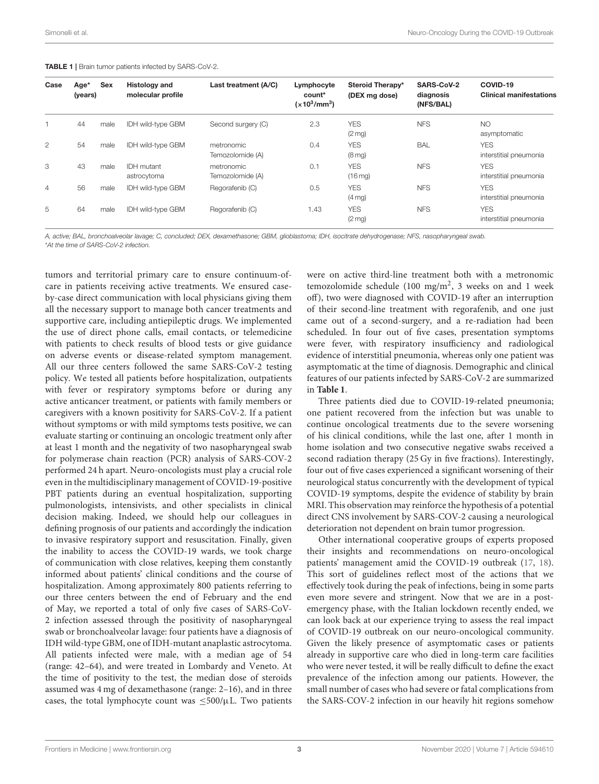| Case           | Age*<br>(years) | Sex  | <b>Histology and</b><br>molecular profile | Last treatment (A/C)           | Lymphocyte<br>count*<br>$(x10^3/mm^3)$ | Steroid Therapy*<br>(DEX mg dose) | SARS-CoV-2<br>diagnosis<br>(NFS/BAL) | COVID-19<br><b>Clinical manifestations</b> |
|----------------|-----------------|------|-------------------------------------------|--------------------------------|----------------------------------------|-----------------------------------|--------------------------------------|--------------------------------------------|
|                | 44              | male | <b>IDH</b> wild-type GBM                  | Second surgery (C)             | 2.3                                    | <b>YES</b><br>$(2 \text{ mg})$    | <b>NFS</b>                           | <b>NO</b><br>asymptomatic                  |
| $\overline{2}$ | 54              | male | <b>IDH wild-type GBM</b>                  | metronomic<br>Temozolomide (A) | 0.4                                    | <b>YES</b><br>$(8 \text{ mg})$    | <b>BAL</b>                           | <b>YES</b><br>interstitial pneumonia       |
| 3              | 43              | male | <b>IDH</b> mutant<br>astrocytoma          | metronomic<br>Temozolomide (A) | 0.1                                    | <b>YES</b><br>$(16 \text{ mg})$   | <b>NFS</b>                           | <b>YES</b><br>interstitial pneumonia       |
| $\overline{4}$ | 56              | male | <b>IDH wild-type GBM</b>                  | Regorafenib (C)                | 0.5                                    | <b>YES</b><br>$(4 \text{ mg})$    | <b>NFS</b>                           | <b>YES</b><br>interstitial pneumonia       |
| 5              | 64              | male | <b>IDH wild-type GBM</b>                  | Regorafenib (C)                | 1.43                                   | <b>YES</b><br>$(2 \text{ mg})$    | <b>NFS</b>                           | <b>YES</b><br>interstitial pneumonia       |

#### <span id="page-2-0"></span>TABLE 1 | Brain tumor patients infected by SARS-CoV-2.

*A, active; BAL, bronchoalveolar lavage; C, concluded; DEX, dexamethasone; GBM, glioblastoma; IDH, isocitrate dehydrogenase; NFS, nasopharyngeal swab.* \**At the time of SARS-CoV-2 infection.*

tumors and territorial primary care to ensure continuum-ofcare in patients receiving active treatments. We ensured caseby-case direct communication with local physicians giving them all the necessary support to manage both cancer treatments and supportive care, including antiepileptic drugs. We implemented the use of direct phone calls, email contacts, or telemedicine with patients to check results of blood tests or give guidance on adverse events or disease-related symptom management. All our three centers followed the same SARS-CoV-2 testing policy. We tested all patients before hospitalization, outpatients with fever or respiratory symptoms before or during any active anticancer treatment, or patients with family members or caregivers with a known positivity for SARS-CoV-2. If a patient without symptoms or with mild symptoms tests positive, we can evaluate starting or continuing an oncologic treatment only after at least 1 month and the negativity of two nasopharyngeal swab for polymerase chain reaction (PCR) analysis of SARS-COV-2 performed 24 h apart. Neuro-oncologists must play a crucial role even in the multidisciplinary management of COVID-19-positive PBT patients during an eventual hospitalization, supporting pulmonologists, intensivists, and other specialists in clinical decision making. Indeed, we should help our colleagues in defining prognosis of our patients and accordingly the indication to invasive respiratory support and resuscitation. Finally, given the inability to access the COVID-19 wards, we took charge of communication with close relatives, keeping them constantly informed about patients' clinical conditions and the course of hospitalization. Among approximately 800 patients referring to our three centers between the end of February and the end of May, we reported a total of only five cases of SARS-CoV-2 infection assessed through the positivity of nasopharyngeal swab or bronchoalveolar lavage: four patients have a diagnosis of IDH wild-type GBM, one of IDH-mutant anaplastic astrocytoma. All patients infected were male, with a median age of 54 (range: 42–64), and were treated in Lombardy and Veneto. At the time of positivity to the test, the median dose of steroids assumed was 4 mg of dexamethasone (range: 2–16), and in three cases, the total lymphocyte count was  $\leq 500/\mu L$ . Two patients were on active third-line treatment both with a metronomic temozolomide schedule (100 mg/m<sup>2</sup>, 3 weeks on and 1 week off), two were diagnosed with COVID-19 after an interruption of their second-line treatment with regorafenib, and one just came out of a second-surgery, and a re-radiation had been scheduled. In four out of five cases, presentation symptoms were fever, with respiratory insufficiency and radiological evidence of interstitial pneumonia, whereas only one patient was asymptomatic at the time of diagnosis. Demographic and clinical features of our patients infected by SARS-CoV-2 are summarized in **[Table 1](#page-2-0)**.

Three patients died due to COVID-19-related pneumonia; one patient recovered from the infection but was unable to continue oncological treatments due to the severe worsening of his clinical conditions, while the last one, after 1 month in home isolation and two consecutive negative swabs received a second radiation therapy (25 Gy in five fractions). Interestingly, four out of five cases experienced a significant worsening of their neurological status concurrently with the development of typical COVID-19 symptoms, despite the evidence of stability by brain MRI. This observation may reinforce the hypothesis of a potential direct CNS involvement by SARS-COV-2 causing a neurological deterioration not dependent on brain tumor progression.

Other international cooperative groups of experts proposed their insights and recommendations on neuro-oncological patients' management amid the COVID-19 outbreak [\(17,](#page-3-16) [18\)](#page-3-17). This sort of guidelines reflect most of the actions that we effectively took during the peak of infections, being in some parts even more severe and stringent. Now that we are in a postemergency phase, with the Italian lockdown recently ended, we can look back at our experience trying to assess the real impact of COVID-19 outbreak on our neuro-oncological community. Given the likely presence of asymptomatic cases or patients already in supportive care who died in long-term care facilities who were never tested, it will be really difficult to define the exact prevalence of the infection among our patients. However, the small number of cases who had severe or fatal complications from the SARS-COV-2 infection in our heavily hit regions somehow